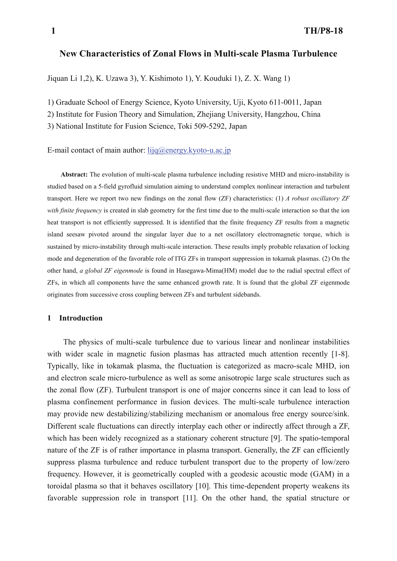# **New Characteristics of Zonal Flows in Multi-scale Plasma Turbulence**

Jiquan Li 1,2), K. Uzawa 3), Y. Kishimoto 1), Y. Kouduki 1), Z. X. Wang 1)

1) Graduate School of Energy Science, Kyoto University, Uji, Kyoto 611-0011, Japan

2) Institute for Fusion Theory and Simulation, Zhejiang University, Hangzhou, China

3) National Institute for Fusion Science, Toki 509-5292, Japan

E-mail contact of main author:  $\text{liq}(a)$ energy.kyoto-u.ac.jp

**Abstract:** The evolution of multi-scale plasma turbulence including resistive MHD and micro-instability is studied based on a 5-field gyrofluid simulation aiming to understand complex nonlinear interaction and turbulent transport. Here we report two new findings on the zonal flow (ZF) characteristics: (1) *A robust oscillatory ZF with finite frequency* is created in slab geometry for the first time due to the multi-scale interaction so that the ion heat transport is not efficiently suppressed. It is identified that the finite frequency ZF results from a magnetic island seesaw pivoted around the singular layer due to a net oscillatory electromagnetic torque, which is sustained by micro-instability through multi-scale interaction. These results imply probable relaxation of locking mode and degeneration of the favorable role of ITG ZFs in transport suppression in tokamak plasmas. (2) On the other hand, *a global ZF eigenmode* is found in Hasegawa-Mima(HM) model due to the radial spectral effect of ZFs, in which all components have the same enhanced growth rate. It is found that the global ZF eigenmode originates from successive cross coupling between ZFs and turbulent sidebands.

# **1 Introduction**

The physics of multi-scale turbulence due to various linear and nonlinear instabilities with wider scale in magnetic fusion plasmas has attracted much attention recently [1-8]. Typically, like in tokamak plasma, the fluctuation is categorized as macro-scale MHD, ion and electron scale micro-turbulence as well as some anisotropic large scale structures such as the zonal flow (ZF). Turbulent transport is one of major concerns since it can lead to loss of plasma confinement performance in fusion devices. The multi-scale turbulence interaction may provide new destabilizing/stabilizing mechanism or anomalous free energy source/sink. Different scale fluctuations can directly interplay each other or indirectly affect through a ZF, which has been widely recognized as a stationary coherent structure [9]. The spatio-temporal nature of the ZF is of rather importance in plasma transport. Generally, the ZF can efficiently suppress plasma turbulence and reduce turbulent transport due to the property of low/zero frequency. However, it is geometrically coupled with a geodesic acoustic mode (GAM) in a toroidal plasma so that it behaves oscillatory [10]. This time-dependent property weakens its favorable suppression role in transport [11]. On the other hand, the spatial structure or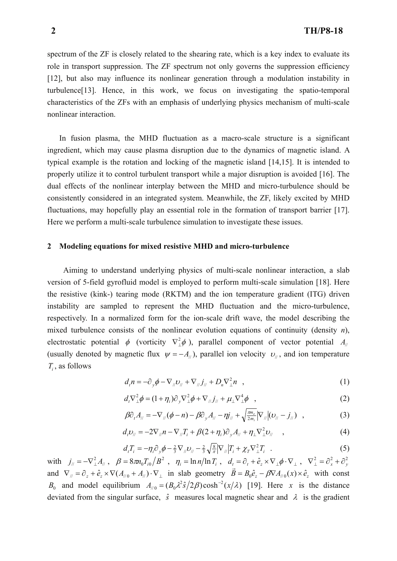spectrum of the ZF is closely related to the shearing rate, which is a key index to evaluate its role in transport suppression. The ZF spectrum not only governs the suppression efficiency [12], but also may influence its nonlinear generation through a modulation instability in turbulence[13]. Hence, in this work, we focus on investigating the spatio-temporal characteristics of the ZFs with an emphasis of underlying physics mechanism of multi-scale nonlinear interaction.

 In fusion plasma, the MHD fluctuation as a macro-scale structure is a significant ingredient, which may cause plasma disruption due to the dynamics of magnetic island. A typical example is the rotation and locking of the magnetic island [14,15]. It is intended to properly utilize it to control turbulent transport while a major disruption is avoided [16]. The dual effects of the nonlinear interplay between the MHD and micro-turbulence should be consistently considered in an integrated system. Meanwhile, the ZF, likely excited by MHD fluctuations, may hopefully play an essential role in the formation of transport barrier [17]. Here we perform a multi-scale turbulence simulation to investigate these issues.

### **2 Modeling equations for mixed resistive MHD and micro-turbulence**

Aiming to understand underlying physics of multi-scale nonlinear interaction, a slab version of 5-field gyrofluid model is employed to perform multi-scale simulation [18]. Here the resistive (kink-) tearing mode (RKTM) and the ion temperature gradient (ITG) driven instability are sampled to represent the MHD fluctuation and the micro-turbulence, respectively. In a normalized form for the ion-scale drift wave, the model describing the mixed turbulence consists of the nonlinear evolution equations of continuity (density *n*), electrostatic potential  $\phi$  (vorticity  $\nabla_{\perp}^2 \phi$ ), parallel component of vector potential  $A_{\parallel}$ (usually denoted by magnetic flux  $\psi = -A_{\mu}$ ), parallel ion velocity  $v_{\mu}$ , and ion temperature *Ti* , as follows

$$
d_t n = -\partial_y \phi - \nabla_{\mu} \nu_{\mu} + \nabla_{\mu} \dot{J}_{\mu} + D_n \nabla_{\mu}^2 n \quad , \tag{1}
$$

$$
d_t \nabla_{\perp}^2 \phi = (1 + \eta_i) \partial_y \nabla_{\perp}^2 \phi + \nabla_{\parallel} j_{\parallel} + \mu_{\perp} \nabla_{\perp}^4 \phi \quad , \tag{2}
$$

$$
\beta \partial_t A_{\parallel} = -\nabla_{\parallel} (\phi - n) - \beta \partial_y A_{\parallel} - \eta j_{\parallel} + \sqrt{\frac{\pi n_e}{2m_i}} |\nabla_{\parallel} |(v_{\parallel} - j_{\parallel}) \quad , \tag{3}
$$

$$
d_t v_{ii} = -2\nabla_{ii} n - \nabla_{ii} T_i + \beta(2+\eta_i)\partial_y A_{ii} + \eta_{\perp} \nabla^2_{\perp} v_{ii} \quad , \tag{4}
$$

$$
d_t T_i = -\eta_i \partial_y \phi - \frac{2}{3} \nabla_{\mu} \nu_{\mu} - \frac{2}{3} \sqrt{\frac{8}{\pi}} |\nabla_{\mu}| T_i + \chi_T \nabla_{\perp}^2 T_i
$$
 (5)

 ${\rm with} \quad j_{\scriptscriptstyle \parallel}=-\nabla_{\perp}^2 A_{\scriptscriptstyle \parallel} \ , \quad \beta=8\pi n_0 T_{i0}/B^2 \ \ , \quad \eta_{\scriptscriptstyle i}=\ln n/\ln T_{\scriptscriptstyle i} \ , \quad d_{\scriptscriptstyle t}=\partial_{\scriptscriptstyle t}+\hat{e}_{\scriptscriptstyle z}\times \nabla_{\perp}\phi\cdot \nabla_{\perp} \ , \quad \nabla_{\perp}^2=\partial_{\scriptscriptstyle x}^2+\partial_{\scriptscriptstyle y}^2$ and  $\nabla_{\theta} = \partial_z + \hat{e}_z \times \nabla (A_{\theta} + A_{\theta}) \cdot \nabla_{\perp}$  in slab geometry  $\vec{B} = B_0 \hat{e}_z - \beta \nabla A_{\theta} (x) \times \hat{e}_z$  with const *B*<sub>0</sub> and model equilibrium  $A_{\mu} = (B_0 \lambda^2 \hat{s} / 2\beta) \cosh^{-2}(x/\lambda)$  [19]. Here *x* is the distance deviated from the singular surface,  $\hat{s}$  measures local magnetic shear and  $\lambda$  is the gradient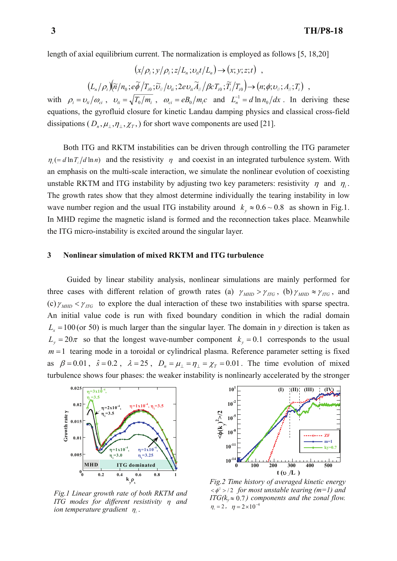length of axial equilibrium current. The normalization is employed as follows [5, 18,20]

$$
(x/\rho_i; y/\rho_i; z/L_n; v_{\rm at}/L_n) \rightarrow (x; y; z; t) ,
$$

$$
(L_n/\rho_i)\big(\widetilde{n}/n_0\,;\widetilde{e\phi}/T_{i0}\,;\widetilde{\upsilon}_{\parallel}/\upsilon_{\parallel}\,;2ev_{ii}\widetilde{A}_{\parallel}/\beta cT_{i0}\,;\widetilde{T}_i/T_{i0}\big)\to (n;\phi;\upsilon_{\parallel}\,;A_{\parallel}\,;T_i)\ ,
$$

with  $\rho_i = v_{ti}/\omega_{ci}$ ,  $v_{ti} = \sqrt{T_0/m_i}$ ,  $\omega_{ci} = eB_0/m_ic$  and  $L_n^{-1} = d \ln n_0/dx$ . In deriving these equations, the gyrofluid closure for kinetic Landau damping physics and classical cross-field dissipations ( $D_n, \mu_1, \eta_1, \chi_T$ ) for short wave components are used [21].

Both ITG and RKTM instabilities can be driven through controlling the ITG parameter  $n_i (= d \ln T_i / d \ln n)$  and the resistivity  $n_i$  and coexist in an integrated turbulence system. With an emphasis on the multi-scale interaction, we simulate the nonlinear evolution of coexisting unstable RKTM and ITG instability by adjusting two key parameters: resistivity  $\eta$  and  $\eta$ . The growth rates show that they almost determine individually the tearing instability in low wave number region and the usual ITG instability around  $k_y \approx 0.6 \sim 0.8$  as shown in Fig.1. In MHD regime the magnetic island is formed and the reconnection takes place. Meanwhile the ITG micro-instability is excited around the singular layer.

# **3 Nonlinear simulation of mixed RKTM and ITG turbulence**

Guided by linear stability analysis, nonlinear simulations are mainly performed for three cases with different relation of growth rates (a)  $\gamma_{MHD} > \gamma_{ITG}$ , (b)  $\gamma_{MHD} \approx \gamma_{ITG}$ , and (c)  $\gamma_{MHD}$  *iTG* to explore the dual interaction of these two instabilities with sparse spectra. An initial value code is run with fixed boundary condition in which the radial domain  $L<sub>x</sub> =100$  (or 50) is much larger than the singular layer. The domain in *y* direction is taken as  $L_v = 20\pi$  so that the longest wave-number component  $k_v = 0.1$  corresponds to the usual  $m = 1$  tearing mode in a toroidal or cylindrical plasma. Reference parameter setting is fixed as  $\beta = 0.01$ ,  $\hat{s} = 0.2$ ,  $\lambda = 25$ ,  $D_n = \mu_{\perp} = \eta_{\perp} = \chi_T = 0.01$ . The time evolution of mixed turbulence shows four phases: the weaker instability is nonlinearly accelerated by the stronger



*Fig.1 Linear growth rate of both RKTM and ITG modes for different resistivity* η *and ion temperature gradient* <sup>η</sup>*<sup>i</sup>* .



*Fig.2 Time history of averaged kinetic energy*   $\langle \phi^2 \rangle$  /2 for most unstable tearing (m=1) and *ITG(k<sub>y</sub>* $\approx$  0.7) components and the zonal flow.  $\eta_i = 2$ ,  $\eta = 2 \times 10^{-4}$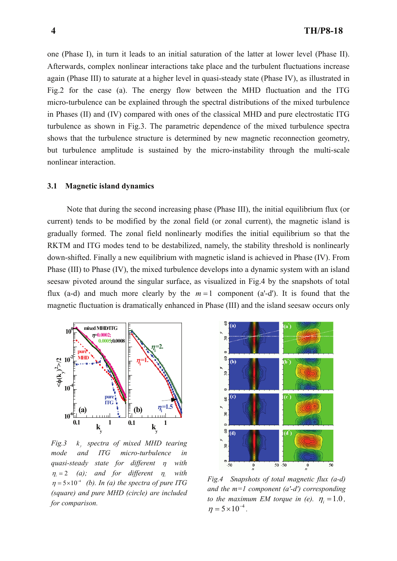one (Phase I), in turn it leads to an initial saturation of the latter at lower level (Phase II). Afterwards, complex nonlinear interactions take place and the turbulent fluctuations increase again (Phase III) to saturate at a higher level in quasi-steady state (Phase IV), as illustrated in Fig.2 for the case (a). The energy flow between the MHD fluctuation and the ITG micro-turbulence can be explained through the spectral distributions of the mixed turbulence in Phases (II) and (IV) compared with ones of the classical MHD and pure electrostatic ITG turbulence as shown in Fig.3. The parametric dependence of the mixed turbulence spectra shows that the turbulence structure is determined by new magnetic reconnection geometry, but turbulence amplitude is sustained by the micro-instability through the multi-scale nonlinear interaction.

# **3.1 Magnetic island dynamics**

Note that during the second increasing phase (Phase III), the initial equilibrium flux (or current) tends to be modified by the zonal field (or zonal current), the magnetic island is gradually formed. The zonal field nonlinearly modifies the initial equilibrium so that the RKTM and ITG modes tend to be destabilized, namely, the stability threshold is nonlinearly down-shifted. Finally a new equilibrium with magnetic island is achieved in Phase (IV). From Phase (III) to Phase (IV), the mixed turbulence develops into a dynamic system with an island seesaw pivoted around the singular surface, as visualized in Fig.4 by the snapshots of total flux (a-d) and much more clearly by the  $m = 1$  component (a'-d'). It is found that the magnetic fluctuation is dramatically enhanced in Phase (III) and the island seesaw occurs only



*Fig.3*  $k$  *spectra of mixed MHD tearing mode and ITG micro-turbulence in quasi-steady state for different* η *with*  <sup>η</sup>*<sup>i</sup>* = 2 *(a); and for different* η*i with*  $\eta = 5 \times 10^{-4}$  (b). In (a) the spectra of pure ITG *(square) and pure MHD (circle) are included for comparison.* 



*Fig.4 Snapshots of total magnetic flux (a-d) and the m=1 component (a'-d') corresponding to the maximum EM torque in (e).*  $\eta_i = 1.0$ ,  $\eta = 5 \times 10^{-4}$ .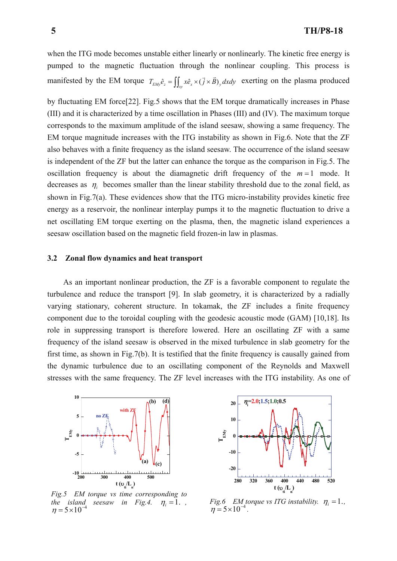when the ITG mode becomes unstable either linearly or nonlinearly. The kinetic free energy is pumped to the magnetic fluctuation through the nonlinear coupling. This process is manifested by the EM torque  $T_{EMy}\hat{e}_z = \iint_{\mathcal{W}} x\hat{e}_x \times (\vec{j} \times \vec{B})_y dx dy$  exerting on the plasma produced

by fluctuating EM force[22]. Fig.5 shows that the EM torque dramatically increases in Phase (III) and it is characterized by a time oscillation in Phases (III) and (IV). The maximum torque corresponds to the maximum amplitude of the island seesaw, showing a same frequency. The EM torque magnitude increases with the ITG instability as shown in Fig.6. Note that the ZF also behaves with a finite frequency as the island seesaw. The occurrence of the island seesaw is independent of the ZF but the latter can enhance the torque as the comparison in Fig.5. The oscillation frequency is about the diamagnetic drift frequency of the  $m=1$  mode. It decreases as  $\eta_i$  becomes smaller than the linear stability threshold due to the zonal field, as shown in Fig.7(a). These evidences show that the ITG micro-instability provides kinetic free energy as a reservoir, the nonlinear interplay pumps it to the magnetic fluctuation to drive a net oscillating EM torque exerting on the plasma, then, the magnetic island experiences a seesaw oscillation based on the magnetic field frozen-in law in plasmas.

### **3.2 Zonal flow dynamics and heat transport**

As an important nonlinear production, the ZF is a favorable component to regulate the turbulence and reduce the transport [9]. In slab geometry, it is characterized by a radially varying stationary, coherent structure. In tokamak, the ZF includes a finite frequency component due to the toroidal coupling with the geodesic acoustic mode (GAM) [10,18]. Its role in suppressing transport is therefore lowered. Here an oscillating ZF with a same frequency of the island seesaw is observed in the mixed turbulence in slab geometry for the first time, as shown in Fig.7(b). It is testified that the finite frequency is causally gained from the dynamic turbulence due to an oscillating component of the Reynolds and Maxwell stresses with the same frequency. The ZF level increases with the ITG instability. As one of



*Fig.5 EM torque vs time corresponding to the island seesaw in Fig.4.*  $\eta_i = 1$ .,  $\eta = 5 \times 10^{-4}$ 



*Fig.6 EM torque vs ITG instability.*  $\eta_i = 1$ .,  $\eta = 5 \times 10^{-4}$ .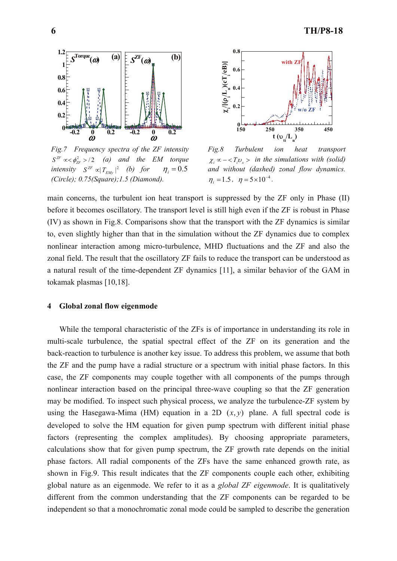

*Fig.7 Frequency spectra of the ZF intensity*   $S^{ZF} \propto \phi_{ZF}^2 > 2$  *(a) and the EM torque intensity*  $S^{ZF} \propto |T_{EMy}|^2$  *(b) for*  $\eta_i = 0.5$ *(Circle); 0.75(Square);1.5 (Diamond).* 



*Fig.8 Turbulent ion heat transport*   $\chi_i \propto -\langle T_i v_x \rangle$  *in the simulations with (solid) and without (dashed) zonal flow dynamics.*   $\eta_i = 1.5$ ,  $\eta = 5 \times 10^{-4}$ .

main concerns, the turbulent ion heat transport is suppressed by the ZF only in Phase (II) before it becomes oscillatory. The transport level is still high even if the ZF is robust in Phase (IV) as shown in Fig.8. Comparisons show that the transport with the ZF dynamics is similar to, even slightly higher than that in the simulation without the ZF dynamics due to complex nonlinear interaction among micro-turbulence, MHD fluctuations and the ZF and also the zonal field. The result that the oscillatory ZF fails to reduce the transport can be understood as a natural result of the time-dependent ZF dynamics [11], a similar behavior of the GAM in tokamak plasmas [10,18].

# **4 Global zonal flow eigenmode**

 While the temporal characteristic of the ZFs is of importance in understanding its role in multi-scale turbulence, the spatial spectral effect of the ZF on its generation and the back-reaction to turbulence is another key issue. To address this problem, we assume that both the ZF and the pump have a radial structure or a spectrum with initial phase factors. In this case, the ZF components may couple together with all components of the pumps through nonlinear interaction based on the principal three-wave coupling so that the ZF generation may be modified. To inspect such physical process, we analyze the turbulence-ZF system by using the Hasegawa-Mima (HM) equation in a 2D  $(x, y)$  plane. A full spectral code is developed to solve the HM equation for given pump spectrum with different initial phase factors (representing the complex amplitudes). By choosing appropriate parameters, calculations show that for given pump spectrum, the ZF growth rate depends on the initial phase factors. All radial components of the ZFs have the same enhanced growth rate, as shown in Fig.9. This result indicates that the ZF components couple each other, exhibiting global nature as an eigenmode. We refer to it as a *global ZF eigenmode*. It is qualitatively different from the common understanding that the ZF components can be regarded to be independent so that a monochromatic zonal mode could be sampled to describe the generation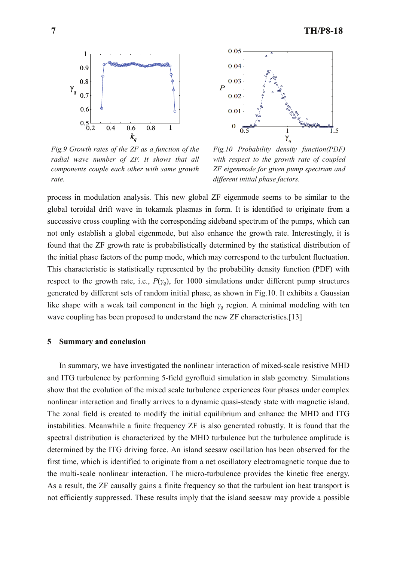

*Fig.9 Growth rates of the ZF as a function of the radial wave number of ZF. It shows that all components couple each other with same growth rate.* 



*Fig.10 Probability density function(PDF) with respect to the growth rate of coupled ZF eigenmode for given pump spectrum and different initial phase factors.* 

process in modulation analysis. This new global ZF eigenmode seems to be similar to the global toroidal drift wave in tokamak plasmas in form. It is identified to originate from a successive cross coupling with the corresponding sideband spectrum of the pumps, which can not only establish a global eigenmode, but also enhance the growth rate. Interestingly, it is found that the ZF growth rate is probabilistically determined by the statistical distribution of the initial phase factors of the pump mode, which may correspond to the turbulent fluctuation. This characteristic is statistically represented by the probability density function (PDF) with respect to the growth rate, i.e.,  $P(\gamma_q)$ , for 1000 simulations under different pump structures generated by different sets of random initial phase, as shown in Fig.10. It exhibits a Gaussian like shape with a weak tail component in the high *γ<sup>q</sup>* region. A minimal modeling with ten wave coupling has been proposed to understand the new ZF characteristics.[13]

#### **5 Summary and conclusion**

 In summary, we have investigated the nonlinear interaction of mixed-scale resistive MHD and ITG turbulence by performing 5-field gyrofluid simulation in slab geometry. Simulations show that the evolution of the mixed scale turbulence experiences four phases under complex nonlinear interaction and finally arrives to a dynamic quasi-steady state with magnetic island. The zonal field is created to modify the initial equilibrium and enhance the MHD and ITG instabilities. Meanwhile a finite frequency ZF is also generated robustly. It is found that the spectral distribution is characterized by the MHD turbulence but the turbulence amplitude is determined by the ITG driving force. An island seesaw oscillation has been observed for the first time, which is identified to originate from a net oscillatory electromagnetic torque due to the multi-scale nonlinear interaction. The micro-turbulence provides the kinetic free energy. As a result, the ZF causally gains a finite frequency so that the turbulent ion heat transport is not efficiently suppressed. These results imply that the island seesaw may provide a possible